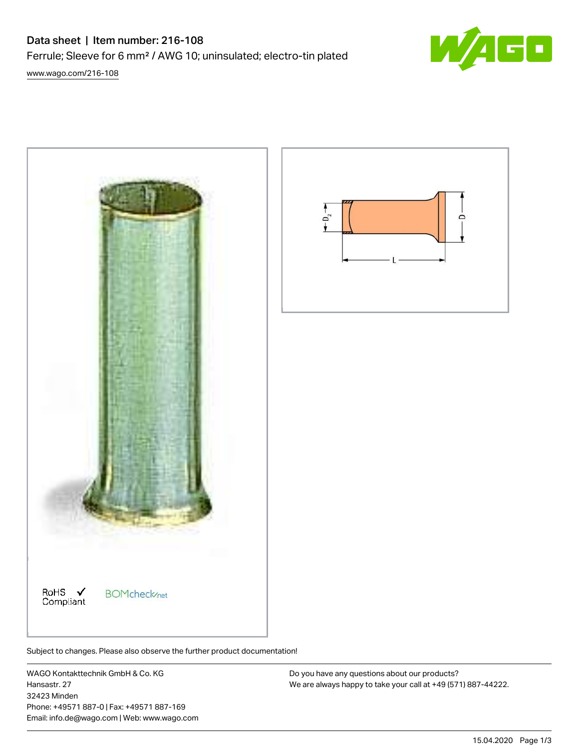## Data sheet | Item number: 216-108

Ferrule; Sleeve for 6 mm² / AWG 10; uninsulated; electro-tin plated

[www.wago.com/216-108](http://www.wago.com/216-108)



Subject to changes. Please also observe the further product documentation!

WAGO Kontakttechnik GmbH & Co. KG Hansastr. 27 32423 Minden Phone: +49571 887-0 | Fax: +49571 887-169 Email: info.de@wago.com | Web: www.wago.com

Do you have any questions about our products? We are always happy to take your call at +49 (571) 887-44222.

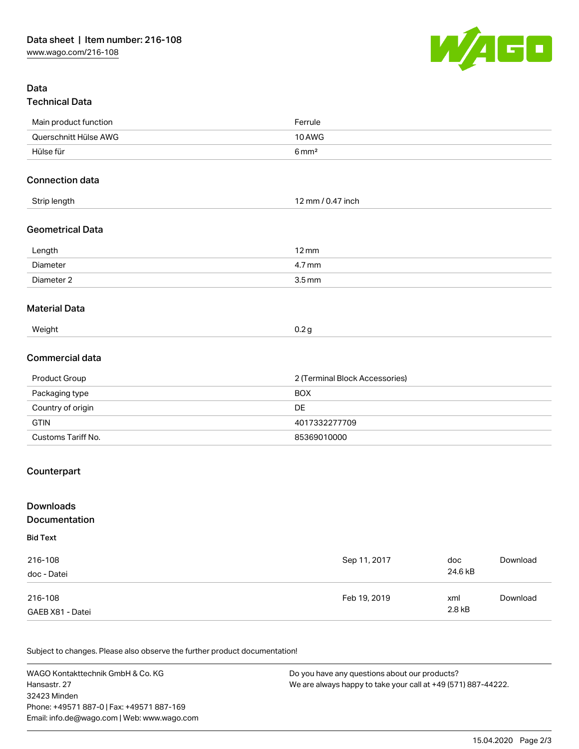

## Data Technical Data

| Main product function   | Ferrule                        |
|-------------------------|--------------------------------|
| Querschnitt Hülse AWG   | 10 AWG                         |
| Hülse für               | $6 \,\mathrm{mm}^2$            |
| <b>Connection data</b>  |                                |
| Strip length            | 12 mm / 0.47 inch              |
| <b>Geometrical Data</b> |                                |
| Length                  | $12 \,\mathrm{mm}$             |
| Diameter                | 4.7 mm                         |
| Diameter 2              | $3.5 \, \text{mm}$             |
| <b>Material Data</b>    |                                |
| Weight                  | 0.2 <sub>g</sub>               |
| Commercial data         |                                |
| Product Group           | 2 (Terminal Block Accessories) |
| Packaging type          | <b>BOX</b>                     |
| Country of origin       | <b>DE</b>                      |
| <b>GTIN</b>             | 4017332277709                  |
| Customs Tariff No.      | 85369010000                    |
|                         |                                |

## Counterpart

| <b>Downloads</b><br>Documentation |              |         |          |
|-----------------------------------|--------------|---------|----------|
| <b>Bid Text</b>                   |              |         |          |
| 216-108                           | Sep 11, 2017 | doc     | Download |
| doc - Datei                       |              | 24.6 kB |          |
| 216-108                           | Feb 19, 2019 | xml     | Download |
| GAEB X81 - Datei                  |              | 2.8 kB  |          |

Subject to changes. Please also observe the further product documentation!

WAGO Kontakttechnik GmbH & Co. KG Hansastr. 27 32423 Minden Phone: +49571 887-0 | Fax: +49571 887-169 Email: info.de@wago.com | Web: www.wago.com Do you have any questions about our products? We are always happy to take your call at +49 (571) 887-44222.